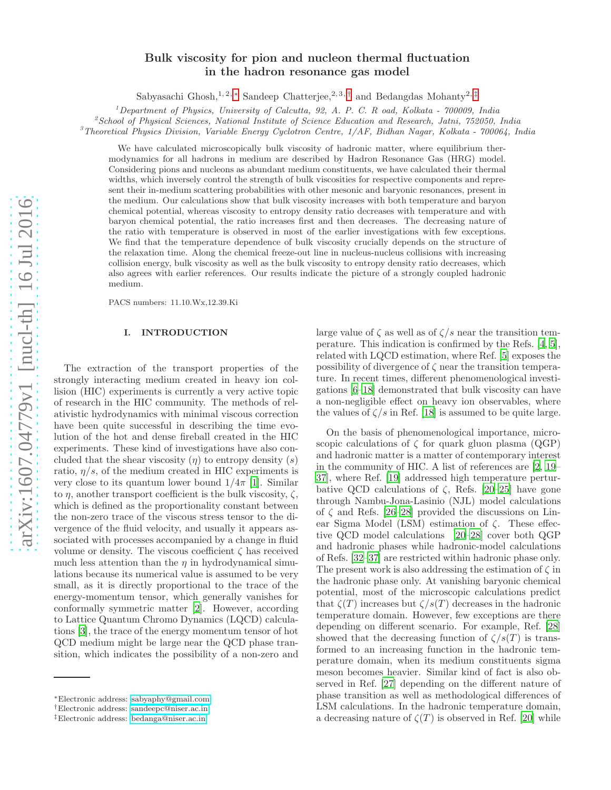# Bulk viscosity for pion and nucleon thermal fluctuation in the hadron resonance gas model

Sabyasachi Ghosh,<sup>1, 2, \*</sup> Sandeep Chatterjee,<sup>2, 3, [†](#page-0-1)</sup> and Bedangdas Mohanty<sup>2, [‡](#page-0-2)</sup>

<sup>1</sup>Department of Physics, University of Calcutta, 92, A. P. C. R oad, Kolkata - 700009, India

 ${}^{2}$ School of Physical Sciences, National Institute of Science Education and Research, Jatni, 752050, India

<sup>3</sup>Theoretical Physics Division, Variable Energy Cyclotron Centre,  $1/AF$ , Bidhan Nagar, Kolkata - 700064, India

We have calculated microscopically bulk viscosity of hadronic matter, where equilibrium thermodynamics for all hadrons in medium are described by Hadron Resonance Gas (HRG) model. Considering pions and nucleons as abundant medium constituents, we have calculated their thermal widths, which inversely control the strength of bulk viscosities for respective components and represent their in-medium scattering probabilities with other mesonic and baryonic resonances, present in the medium. Our calculations show that bulk viscosity increases with both temperature and baryon chemical potential, whereas viscosity to entropy density ratio decreases with temperature and with baryon chemical potential, the ratio increases first and then decreases. The decreasing nature of the ratio with temperature is observed in most of the earlier investigations with few exceptions. We find that the temperature dependence of bulk viscosity crucially depends on the structure of the relaxation time. Along the chemical freeze-out line in nucleus-nucleus collisions with increasing collision energy, bulk viscosity as well as the bulk viscosity to entropy density ratio decreases, which also agrees with earlier references. Our results indicate the picture of a strongly coupled hadronic medium.

PACS numbers: 11.10.Wx,12.39.Ki

## I. INTRODUCTION

The extraction of the transport properties of the strongly interacting medium created in heavy ion collision (HIC) experiments is currently a very active topic of research in the HIC community. The methods of relativistic hydrodynamics with minimal viscous correction have been quite successful in describing the time evolution of the hot and dense fireball created in the HIC experiments. These kind of investigations have also concluded that the shear viscosity  $(\eta)$  to entropy density  $(s)$ ratio,  $\eta/s$ , of the medium created in HIC experiments is very close to its quantum lower bound  $1/4\pi$  [\[1\]](#page-7-0). Similar to  $\eta$ , another transport coefficient is the bulk viscosity,  $\zeta$ , which is defined as the proportionality constant between the non-zero trace of the viscous stress tensor to the divergence of the fluid velocity, and usually it appears associated with processes accompanied by a change in fluid volume or density. The viscous coefficient  $\zeta$  has received much less attention than the  $\eta$  in hydrodynamical simulations because its numerical value is assumed to be very small, as it is directly proportional to the trace of the energy-momentum tensor, which generally vanishes for conformally symmetric matter [\[2](#page-7-1)]. However, according to Lattice Quantum Chromo Dynamics (LQCD) calculations [\[3\]](#page-7-2), the trace of the energy momentum tensor of hot QCD medium might be large near the QCD phase transition, which indicates the possibility of a non-zero and

large value of  $\zeta$  as well as of  $\zeta/s$  near the transition temperature. This indication is confirmed by the Refs. [\[4,](#page-7-3) [5\]](#page-7-4), related with LQCD estimation, where Ref. [\[5](#page-7-4)] exposes the possibility of divergence of  $\zeta$  near the transition temperature. In recent times, different phenomenological investigations [\[6](#page-7-5)[–18\]](#page-7-6) demonstrated that bulk viscosity can have a non-negligible effect on heavy ion observables, where the values of  $\zeta/s$  in Ref. [\[18\]](#page-7-6) is assumed to be quite large.

On the basis of phenomenological importance, microscopic calculations of  $\zeta$  for quark gluon plasma (QGP) and hadronic matter is a matter of contemporary interest in the community of HIC. A list of references are [\[2](#page-7-1), [19](#page-7-7)– [37\]](#page-7-8), where Ref. [\[19](#page-7-7)] addressed high temperature perturbative QCD calculations of  $\zeta$ , Refs. [\[20–](#page-7-9)[25\]](#page-7-10) have gone through Nambu-Jona-Lasinio (NJL) model calculations of  $\zeta$  and Refs. [\[26](#page-7-11)[–28\]](#page-7-12) provided the discussions on Linear Sigma Model (LSM) estimation of ζ. These effective QCD model calculations [\[20](#page-7-9)[–28\]](#page-7-12) cover both QGP and hadronic phases while hadronic-model calculations of Refs. [\[32](#page-7-13)[–37\]](#page-7-8) are restricted within hadronic phase only. The present work is also addressing the estimation of  $\zeta$  in the hadronic phase only. At vanishing baryonic chemical potential, most of the microscopic calculations predict that  $\zeta(T)$  increases but  $\zeta/s(T)$  decreases in the hadronic temperature domain. However, few exceptions are there depending on different scenario. For example, Ref. [\[28](#page-7-12)] showed that the decreasing function of  $\zeta/s(T)$  is transformed to an increasing function in the hadronic temperature domain, when its medium constituents sigma meson becomes heavier. Similar kind of fact is also observed in Ref. [\[27\]](#page-7-14) depending on the different nature of phase transition as well as methodological differences of LSM calculations. In the hadronic temperature domain, a decreasing nature of  $\zeta(T)$  is observed in Ref. [\[20\]](#page-7-9) while

<span id="page-0-0"></span><sup>∗</sup>Electronic address: [sabyaphy@gmail.com](mailto:sabyaphy@gmail.com)

<span id="page-0-1"></span><sup>†</sup>Electronic address: [sandeepc@niser.ac.in](mailto:sandeepc@niser.ac.in)

<span id="page-0-2"></span><sup>‡</sup>Electronic address: [bedanga@niser.ac.in](mailto:bedanga@niser.ac.in)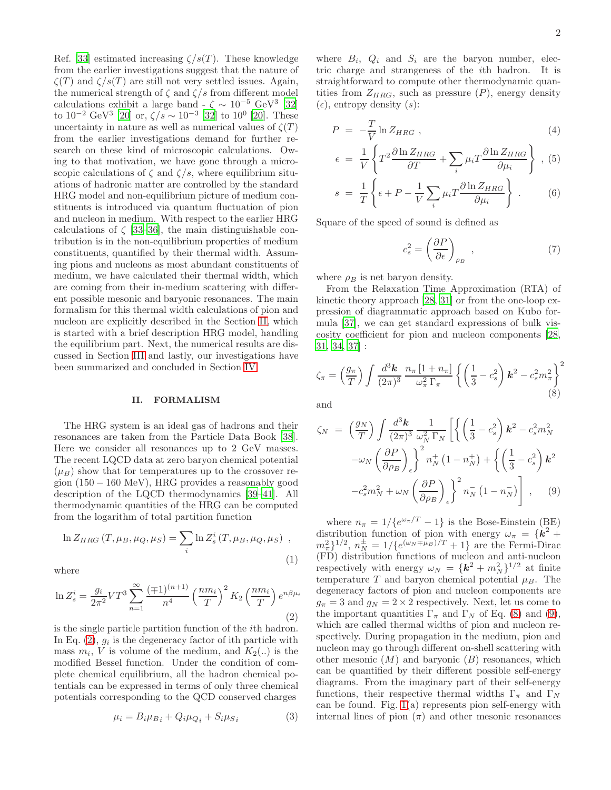Ref. [\[33\]](#page-7-15) estimated increasing  $\zeta/s(T)$ . These knowledge from the earlier investigations suggest that the nature of  $\zeta(T)$  and  $\zeta/s(T)$  are still not very settled issues. Again, the numerical strength of  $\zeta$  and  $\zeta/s$  from different model calculations exhibit a large band  $\sim \zeta \sim 10^{-5} \text{ GeV}^3$  [\[32](#page-7-13)] to  $10^{-2}$  GeV<sup>3</sup> [\[20\]](#page-7-9) or,  $\zeta/s \sim 10^{-3}$  [\[32](#page-7-13)] to  $10^{0}$  [20]. These uncertainty in nature as well as numerical values of  $\zeta(T)$ from the earlier investigations demand for further research on these kind of microscopic calculations. Owing to that motivation, we have gone through a microscopic calculations of  $\zeta$  and  $\zeta/s$ , where equilibrium situations of hadronic matter are controlled by the standard HRG model and non-equilibrium picture of medium constituents is introduced via quantum fluctuation of pion and nucleon in medium. With respect to the earlier HRG calculations of  $\zeta$  [\[33](#page-7-15)[–36](#page-7-16)], the main distinguishable contribution is in the non-equilibrium properties of medium constituents, quantified by their thermal width. Assuming pions and nucleons as most abundant constituents of medium, we have calculated their thermal width, which are coming from their in-medium scattering with different possible mesonic and baryonic resonances. The main formalism for this thermal width calculations of pion and nucleon are explicitly described in the Section [II,](#page-1-0) which is started with a brief description HRG model, handling the equilibrium part. Next, the numerical results are discussed in Section [III](#page-3-0) and lastly, our investigations have been summarized and concluded in Section [IV.](#page-6-0)

### <span id="page-1-0"></span>II. FORMALISM

The HRG system is an ideal gas of hadrons and their resonances are taken from the Particle Data Book [\[38\]](#page-7-17). Here we consider all resonances up to 2 GeV masses. The recent LQCD data at zero baryon chemical potential  $(\mu_B)$  show that for temperatures up to the crossover region (150 − 160 MeV), HRG provides a reasonably good description of the LQCD thermodynamics [\[39](#page-7-18)[–41](#page-7-19)]. All thermodynamic quantities of the HRG can be computed from the logarithm of total partition function

$$
\ln Z_{HRG}(T, \mu_B, \mu_Q, \mu_S) = \sum_i \ln Z_s^i(T, \mu_B, \mu_Q, \mu_S) ,
$$
\n(1)

where

<span id="page-1-1"></span>
$$
\ln Z_s^i = \frac{g_i}{2\pi^2} V T^3 \sum_{n=1}^{\infty} \frac{(\mp 1)^{(n+1)}}{n^4} \left(\frac{n m_i}{T}\right)^2 K_2 \left(\frac{n m_i}{T}\right) e^{n \beta \mu_i}
$$
\n(2)

is the single particle partition function of the ith hadron. In Eq.  $(2)$ ,  $g_i$  is the degeneracy factor of ith particle with mass  $m_i$ , V is volume of the medium, and  $K_2(.)$  is the modified Bessel function. Under the condition of complete chemical equilibrium, all the hadron chemical potentials can be expressed in terms of only three chemical potentials corresponding to the QCD conserved charges

$$
\mu_i = B_i \mu_{B_i} + Q_i \mu_{Q_i} + S_i \mu_{S_i} \tag{3}
$$

where  $B_i$ ,  $Q_i$  and  $S_i$  are the baryon number, electric charge and strangeness of the ith hadron. It is straightforward to compute other thermodynamic quantities from  $Z_{HRG}$ , such as pressure  $(P)$ , energy density  $(\epsilon)$ , entropy density  $(s)$ :

$$
P = -\frac{T}{V} \ln Z_{HRG} \t{,} \t(4)
$$

$$
\epsilon = \frac{1}{V} \left\{ T^2 \frac{\partial \ln Z_{HRG}}{\partial T} + \sum_i \mu_i T \frac{\partial \ln Z_{HRG}}{\partial \mu_i} \right\} , (5)
$$

$$
s = \frac{1}{T} \left\{ \epsilon + P - \frac{1}{V} \sum_{i} \mu_i T \frac{\partial \ln Z_{HRG}}{\partial \mu_i} \right\} . \tag{6}
$$

Square of the speed of sound is defined as

$$
c_s^2 = \left(\frac{\partial P}{\partial \epsilon}\right)_{\rho_B} \tag{7}
$$

where  $\rho_B$  is net baryon density.

From the Relaxation Time Approximation (RTA) of kinetic theory approach [\[28,](#page-7-12) [31](#page-7-20)] or from the one-loop expression of diagrammatic approach based on Kubo formula [\[37](#page-7-8)], we can get standard expressions of bulk viscosity coefficient for pion and nucleon components [\[28](#page-7-12), [31,](#page-7-20) [34](#page-7-21), [37](#page-7-8)] :

<span id="page-1-2"></span>
$$
\zeta_{\pi} = \left(\frac{g_{\pi}}{T}\right) \int \frac{d^3 \mathbf{k}}{(2\pi)^3} \frac{n_{\pi} \left[1 + n_{\pi}\right]}{\omega_{\pi}^2 \Gamma_{\pi}} \left\{ \left(\frac{1}{3} - c_s^2\right) \mathbf{k}^2 - c_s^2 m_{\pi}^2 \right\}^2
$$
\n(8)

and

<span id="page-1-3"></span>
$$
\zeta_N = \left(\frac{g_N}{T}\right) \int \frac{d^3 \mathbf{k}}{(2\pi)^3} \frac{1}{\omega_N^2 \Gamma_N} \left[ \left\{ \left(\frac{1}{3} - c_s^2\right) \mathbf{k}^2 - c_s^2 m_N^2 \right. \\ \left. - \omega_N \left(\frac{\partial P}{\partial \rho_B}\right)_\epsilon \right\}^2 n_N^+ (1 - n_N^+) + \left\{ \left(\frac{1}{3} - c_s^2\right) \mathbf{k}^2 \right. \\ \left. - c_s^2 m_N^2 + \omega_N \left(\frac{\partial P}{\partial \rho_B}\right)_\epsilon \right\}^2 n_N^- (1 - n_N^-) \right], \quad (9)
$$

where  $n_{\pi} = 1/\{e^{\omega_{\pi}/T} - 1\}$  is the Bose-Einstein (BE) distribution function of pion with energy  $\omega_{\pi} = \{\mathbf{k}^2 + \mathbf{k}^2\}$  $m_{\pi}^2$ <sup>1/2</sup>,  $n_{N}^{\pm} = 1/\{e^{(\omega_{N} \mp \mu_{B})/T} + 1\}$  are the Fermi-Dirac (FD) distribution functions of nucleon and anti-nucleon respectively with energy  $\omega_N = {\{\mathbf{k}^2 + m_N^2\}}^{1/2}$  at finite temperature T and baryon chemical potential  $\mu_B$ . The degeneracy factors of pion and nucleon components are  $g_{\pi} = 3$  and  $g_N = 2 \times 2$  respectively. Next, let us come to the important quantities  $\Gamma_{\pi}$  and  $\Gamma_{N}$  of Eq. [\(8\)](#page-1-2) and [\(9\)](#page-1-3), which are called thermal widths of pion and nucleon respectively. During propagation in the medium, pion and nucleon may go through different on-shell scattering with other mesonic  $(M)$  and baryonic  $(B)$  resonances, which can be quantified by their different possible self-energy diagrams. From the imaginary part of their self-energy functions, their respective thermal widths  $\Gamma_{\pi}$  and  $\Gamma_{N}$ can be found. Fig. [1\(](#page-2-0)a) represents pion self-energy with internal lines of pion  $(\pi)$  and other mesonic resonances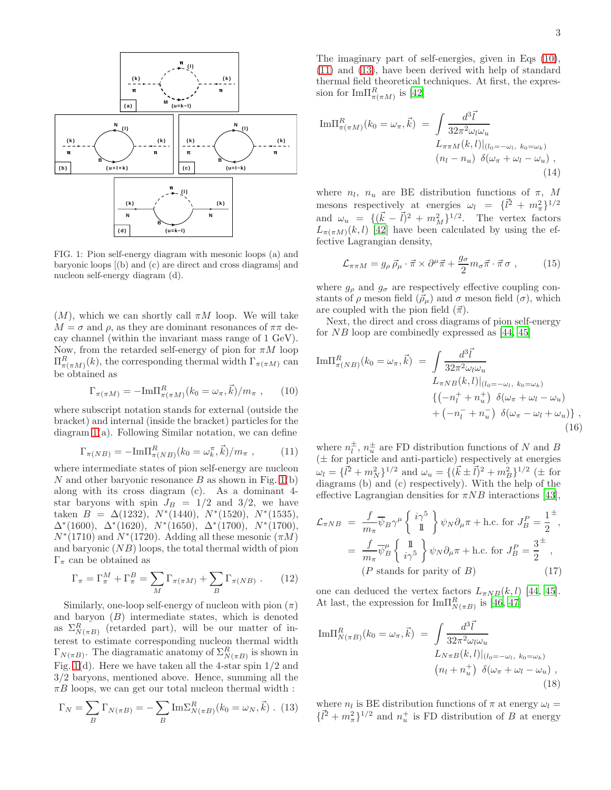

<span id="page-2-0"></span>FIG. 1: Pion self-energy diagram with mesonic loops (a) and baryonic loops [(b) and (c) are direct and cross diagrams] and nucleon self-energy diagram (d).

 $(M)$ , which we can shortly call  $\pi M$  loop. We will take  $M = \sigma$  and  $\rho$ , as they are dominant resonances of  $\pi\pi$  decay channel (within the invariant mass range of 1 GeV). Now, from the retarded self-energy of pion for  $\pi M$  loop  $\Pi_{\pi(\pi M)}^R(k)$ , the corresponding thermal width  $\Gamma_{\pi(\pi M)}$  can be obtained as

<span id="page-2-1"></span>
$$
\Gamma_{\pi(\pi M)} = -\text{Im}\Pi_{\pi(\pi M)}^R(k_0 = \omega_\pi, \vec{k})/m_\pi ,\qquad(10)
$$

where subscript notation stands for external (outside the bracket) and internal (inside the bracket) particles for the diagram [1\(](#page-2-0)a). Following Similar notation, we can define

<span id="page-2-2"></span>
$$
\Gamma_{\pi(NB)} = -\text{Im}\Pi_{\pi(NB)}^R(k_0 = \omega_k^{\pi}, \vec{k})/m_{\pi} ,\qquad (11)
$$

where intermediate states of pion self-energy are nucleon N and other baryonic resonance B as shown in Fig.  $1(b)$ along with its cross diagram (c). As a dominant 4 star baryons with spin  $J_B = 1/2$  and  $3/2$ , we have taken  $B = \Delta(1232), N^*(1440), N^*(1520), N^*(1535),$  $\Delta^*(1600)$ ,  $\Delta^*(1620)$ ,  $N^*(1650)$ ,  $\Delta^*(1700)$ ,  $N^*(1700)$ ,  $N^*(1710)$  and  $N^*(1720)$ . Adding all these mesonic  $(\pi M)$ and baryonic  $(NB)$  loops, the total thermal width of pion Γ<sub>π</sub> can be obtained as

<span id="page-2-5"></span>
$$
\Gamma_{\pi} = \Gamma_{\pi}^{M} + \Gamma_{\pi}^{B} = \sum_{M} \Gamma_{\pi(\pi M)} + \sum_{B} \Gamma_{\pi(NB)} . \qquad (12)
$$

Similarly, one-loop self-energy of nucleon with pion  $(\pi)$ and baryon  $(B)$  intermediate states, which is denoted as  $\Sigma_{N(\pi B)}^R$  (retarded part), will be our matter of interest to estimate corresponding nucleon thermal width  $\Gamma_{N(\pi B)}$ . The diagramatic anatomy of  $\Sigma^R_{N(\pi B)}$  is shown in Fig. [1\(](#page-2-0)d). Here we have taken all the 4-star spin 1/2 and 3/2 baryons, mentioned above. Hence, summing all the  $\pi B$  loops, we can get our total nucleon thermal width :

<span id="page-2-3"></span>
$$
\Gamma_N = \sum_B \Gamma_{N(\pi B)} = -\sum_B \mathrm{Im}\Sigma^R_{N(\pi B)}(k_0 = \omega_N, \vec{k})
$$
 (13)

The imaginary part of self-energies, given in Eqs [\(10\)](#page-2-1), [\(11\)](#page-2-2) and [\(13\)](#page-2-3), have been derived with help of standard thermal field theoretical techniques. At first, the expression for  ${\rm Im}\Pi_{\pi(\pi M)}^R$  is [\[42](#page-7-22)]

<span id="page-2-6"></span>
$$
\text{Im}\Pi_{\pi(\pi M)}^{R}(k_0 = \omega_{\pi}, \vec{k}) = \int \frac{d^3 \vec{l}}{32\pi^2 \omega_l \omega_u} \nL_{\pi\pi M}(k, l)|_{(l_0 = -\omega_l, k_0 = \omega_k)} \n(n_l - n_u) \delta(\omega_{\pi} + \omega_l - \omega_u),
$$
\n(14)

where  $n_l$ ,  $n_u$  are BE distribution functions of  $\pi$ , M mesons respectively at energies  $\omega_l = {\{\vec{l}^2 + m_\pi^2\}}^{1/2}$ and  $\omega_u = \{(\vec{k} - \vec{l})^2 + m_M^2\}^{1/2}$ . The vertex factors  $L_{\pi(\pi M)}(k, l)$  [\[42\]](#page-7-22) have been calculated by using the effective Lagrangian density,

$$
\mathcal{L}_{\pi\pi M} = g_{\rho} \,\vec{\rho}_{\mu} \cdot \vec{\pi} \times \partial^{\mu} \vec{\pi} + \frac{g_{\sigma}}{2} m_{\sigma} \vec{\pi} \cdot \vec{\pi} \,\sigma , \qquad (15)
$$

where  $g_{\rho}$  and  $g_{\sigma}$  are respectively effective coupling constants of  $\rho$  meson field  $(\vec{\rho}_{\mu})$  and  $\sigma$  meson field  $(\sigma)$ , which are coupled with the pion field  $(\vec{\pi})$ .

Next, the direct and cross diagrams of pion self-energy for  $NB$  loop are combinedly expressed as [\[44,](#page-7-23) [45\]](#page-7-24)

<span id="page-2-7"></span>Im
$$
\Pi_{\pi(NB)}^R(k_0 = \omega_\pi, \vec{k}) = \int \frac{d^3 \vec{l}}{32\pi^2 \omega_l \omega_u}
$$
  
\n
$$
L_{\pi NB}(k, l)|_{(l_0 = -\omega_l, k_0 = \omega_k)}
$$
\n
$$
\{(-n_l^+ + n_u^+) \delta(\omega_\pi + \omega_l - \omega_u) + (-n_l^- + n_u^-) \delta(\omega_\pi - \omega_l + \omega_u)\},
$$
\n(16)

where  $n_l^{\pm}$ ,  $n_u^{\pm}$  are FD distribution functions of N and B (± for particle and anti-particle) respectively at energies  $\omega_l = {\{\vec{l}^2 + m_N^2\}}^{1/2}$  and  $\omega_u = {\{\vec{k} \pm \vec{l}\}^2 + m_B^2\}}^{1/2}$  ( $\pm$  for diagrams (b) and (c) respectively). With the help of the effective Lagrangian densities for  $\pi NB$  interactions [\[43\]](#page-7-25),

<span id="page-2-4"></span>
$$
\mathcal{L}_{\pi NB} = \frac{f}{m_{\pi}} \overline{\psi}_B \gamma^{\mu} \begin{Bmatrix} i\gamma^5 \\ \mathbb{1} \end{Bmatrix} \psi_N \partial_{\mu} \pi + \text{h.c. for } J_B^P = \frac{1}{2}^{\pm},
$$

$$
= \frac{f}{m_{\pi}} \overline{\psi}_B^{\mu} \begin{Bmatrix} \mathbb{1} \\ i\gamma^5 \end{Bmatrix} \psi_N \partial_{\mu} \pi + \text{h.c. for } J_B^P = \frac{3}{2}^{\pm},
$$

$$
(P \text{ stands for parity of } B) \tag{17}
$$

one can deduced the vertex factors  $L_{\pi NB}(k, l)$  [\[44,](#page-7-23) [45\]](#page-7-24). At last, the expression for  $\text{Im}\Pi_{N(\pi B)}^R$  is [\[46,](#page-7-26) [47\]](#page-8-0)

<span id="page-2-8"></span>
$$
\text{Im}\Pi_{N(\pi B)}^{R}(k_0 = \omega_{\pi}, \vec{k}) = \int \frac{d^3 \vec{l}}{32\pi^2 \omega_l \omega_u}
$$

$$
L_{N\pi B}(k, l)|_{(l_0 = -\omega_l, k_0 = \omega_k)}
$$

$$
(n_l + n_u^+) \delta(\omega_{\pi} + \omega_l - \omega_u),
$$

$$
(18)
$$

where  $n_l$  is BE distribution functions of  $\pi$  at energy  $\omega_l =$  $\{l^2 + m_{\pi}^2\}^{1/2}$  and  $n_u^+$  is FD distribution of B at energy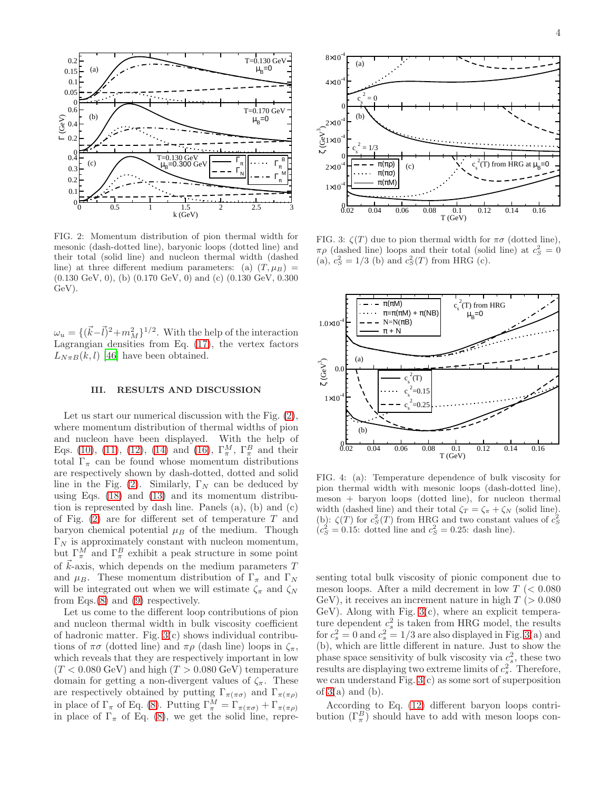

<span id="page-3-1"></span>FIG. 2: Momentum distribution of pion thermal width for mesonic (dash-dotted line), baryonic loops (dotted line) and their total (solid line) and nucleon thermal width (dashed line) at three different medium parameters: (a)  $(T, \mu_B)$  = (0.130 GeV, 0), (b) (0.170 GeV, 0) and (c) (0.130 GeV, 0.300 GeV).

 $\omega_u = \{(\vec{k}-\vec{l})^2+m_M^2\}^{1/2}$ . With the help of the interaction Lagrangian densities from Eq. [\(17\)](#page-2-4), the vertex factors  $L_{N\pi B}(k, l)$  [\[46\]](#page-7-26) have been obtained.

#### <span id="page-3-0"></span>III. RESULTS AND DISCUSSION

Let us start our numerical discussion with the Fig.  $(2)$ , where momentum distribution of thermal widths of pion and nucleon have been displayed. With the help of Eqs. [\(10\)](#page-2-1), [\(11\)](#page-2-2), [\(12\)](#page-2-5), [\(14\)](#page-2-6) and [\(16\)](#page-2-7),  $\Gamma_{\pi}^{M}$ ,  $\Gamma_{\pi}^{B}$  and their total  $\Gamma_{\pi}$  can be found whose momentum distributions are respectively shown by dash-dotted, dotted and solid line in the Fig. [\(2\)](#page-3-1). Similarly,  $\Gamma_N$  can be deduced by using Eqs. [\(18\)](#page-2-8) and [\(13\)](#page-2-3) and its momentum distribution is represented by dash line. Panels (a), (b) and (c) of Fig.  $(2)$  are for different set of temperature T and baryon chemical potential  $\mu_B$  of the medium. Though  $\Gamma_N$  is approximately constant with nucleon momentum, but  $\Gamma_\pi^M$  and  $\Gamma_\pi^B$  exhibit a peak structure in some point of  $\vec{k}$ -axis, which depends on the medium parameters T and  $\mu_B$ . These momentum distribution of  $\Gamma_\pi$  and  $\Gamma_N$ will be integrated out when we will estimate  $\zeta_{\pi}$  and  $\zeta_{N}$ from Eqs.[\(8\)](#page-1-2) and [\(9\)](#page-1-3) respectively.

Let us come to the different loop contributions of pion and nucleon thermal width in bulk viscosity coefficient of hadronic matter. Fig. [3\(](#page-3-2)c) shows individual contributions of  $\pi\sigma$  (dotted line) and  $\pi\rho$  (dash line) loops in  $\zeta_{\pi}$ , which reveals that they are respectively important in low  $(T < 0.080 \text{ GeV})$  and high  $(T > 0.080 \text{ GeV})$  temperature domain for getting a non-divergent values of  $\zeta_{\pi}$ . These are respectively obtained by putting  $\Gamma_{\pi(\pi\sigma)}$  and  $\Gamma_{\pi(\pi\rho)}$ in place of  $\Gamma_{\pi}$  of Eq. [\(8\)](#page-1-2). Putting  $\Gamma_{\pi}^{M} = \Gamma_{\pi(\pi \sigma)} + \Gamma_{\pi(\pi \rho)}$ in place of  $\Gamma_{\pi}$  of Eq. [\(8\)](#page-1-2), we get the solid line, repre-



<span id="page-3-2"></span>FIG. 3:  $\zeta(T)$  due to pion thermal width for  $\pi\sigma$  (dotted line),  $\pi \rho$  (dashed line) loops and their total (solid line) at  $c_S^2 = 0$ (a),  $c_S^2 = 1/3$  (b) and  $c_S^2(T)$  from HRG (c).



<span id="page-3-3"></span>FIG. 4: (a): Temperature dependence of bulk viscosity for pion thermal width with mesonic loops (dash-dotted line), meson + baryon loops (dotted line), for nucleon thermal width (dashed line) and their total  $\zeta_T = \zeta_\pi + \zeta_N$  (solid line). (b):  $\zeta(T)$  for  $c_S^2(T)$  from HRG and two constant values of  $c_S^2$  $(c_S^2 = 0.15:$  dotted line and  $c_S^2 = 0.25:$  dash line).

senting total bulk viscosity of pionic component due to meson loops. After a mild decrement in low  $T \approx 0.080$ GeV), it receives an increment nature in high  $T > 0.080$ GeV). Along with Fig.  $3(c)$ , where an explicit temperature dependent  $c_s^2$  is taken from HRG model, the results for  $c_s^2 = 0$  and  $c_s^2 = 1/3$  are also displayed in Fig. [3\(](#page-3-2)a) and (b), which are little different in nature. Just to show the phase space sensitivity of bulk viscosity via  $c_s^2$ , these two results are displaying two extreme limits of  $c_s^2$ . Therefore, we can understand Fig.  $3(c)$  as some sort of superposition of  $3(a)$  and  $(b)$ .

According to Eq. [\(12\)](#page-2-5) different baryon loops contribution  $(\Gamma_{\pi}^{B})$  should have to add with meson loops con-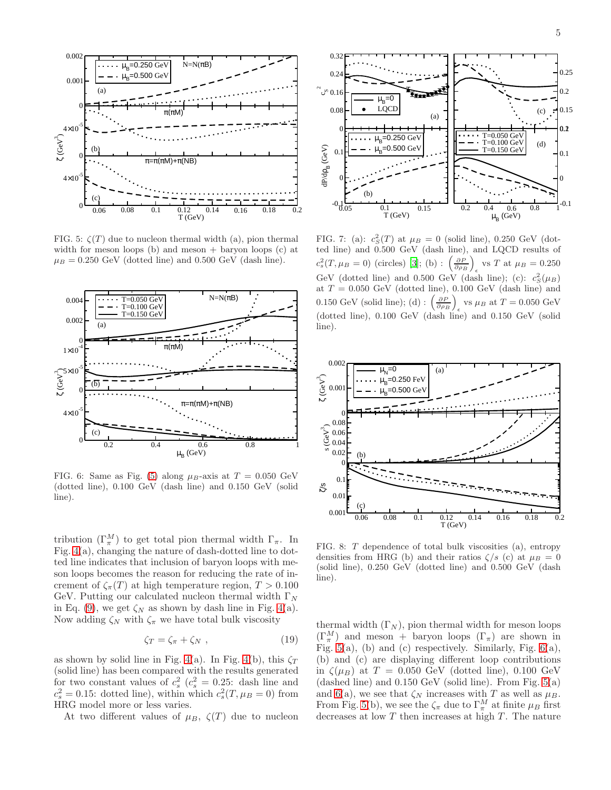

<span id="page-4-0"></span>FIG. 5:  $\zeta(T)$  due to nucleon thermal width (a), pion thermal width for meson loops (b) and meson  $+$  baryon loops (c) at  $\mu_B = 0.250$  GeV (dotted line) and 0.500 GeV (dash line).



<span id="page-4-1"></span>FIG. 6: Same as Fig. [\(5\)](#page-4-0) along  $\mu_B$ -axis at  $T = 0.050$  GeV (dotted line), 0.100 GeV (dash line) and 0.150 GeV (solid line).

tribution  $(\Gamma_{\pi}^{M})$  to get total pion thermal width  $\Gamma_{\pi}$ . In Fig. [4\(](#page-3-3)a), changing the nature of dash-dotted line to dotted line indicates that inclusion of baryon loops with meson loops becomes the reason for reducing the rate of increment of  $\zeta_{\pi}(T)$  at high temperature region,  $T > 0.100$ GeV. Putting our calculated nucleon thermal width  $\Gamma_N$ in Eq. [\(9\)](#page-1-3), we get  $\zeta_N$  as shown by dash line in Fig. [4\(](#page-3-3)a). Now adding  $\zeta_N$  with  $\zeta_\pi$  we have total bulk viscosity

$$
\zeta_T = \zeta_\pi + \zeta_N \,,\tag{19}
$$

as shown by solid line in Fig. [4\(](#page-3-3)a). In Fig. 4(b), this  $\zeta_T$ (solid line) has been compared with the results generated for two constant values of  $c_s^2$  ( $c_s^2 = 0.25$ : dash line and  $c_s^2 = 0.15$ : dotted line), within which  $c_s^2(T, \mu_B = 0)$  from HRG model more or less varies.

At two different values of  $\mu_B$ ,  $\zeta(T)$  due to nucleon



<span id="page-4-2"></span>FIG. 7: (a):  $c_S^2(T)$  at  $\mu_B = 0$  (solid line), 0.250 GeV (dotted line) and 0.500 GeV (dash line), and LQCD results of  $c_s^2(T,\mu_B=0)$  (circles) [\[3](#page-7-2)]; (b) :  $\left(\frac{\partial P}{\partial \rho_B}\right)$ vs T at  $\mu_B = 0.250$ GeV (dotted line) and 0.500 GeV (dash line); (c):  $c_S^2(\mu_B)$ at  $T = 0.050$  GeV (dotted line), 0.100 GeV (dash line) and 0.150 GeV (solid line); (d) :  $\left(\frac{\partial P}{\partial \rho_B}\right)$ vs  $\mu_B$  at  $T = 0.050$  GeV (dotted line), 0.100 GeV (dash line) and 0.150 GeV (solid line).



<span id="page-4-3"></span>FIG. 8: T dependence of total bulk viscosities (a), entropy densities from HRG (b) and their ratios  $\zeta/s$  (c) at  $\mu_B = 0$ (solid line), 0.250 GeV (dotted line) and 0.500 GeV (dash line).

thermal width  $(\Gamma_N)$ , pion thermal width for meson loops  $(\Gamma^M_\pi)$  and meson + baryon loops  $(\Gamma_\pi)$  are shown in Fig.  $5(a)$ , (b) and (c) respectively. Similarly, Fig.  $6(a)$ , (b) and (c) are displaying different loop contributions in  $\zeta(\mu_B)$  at  $T = 0.050$  GeV (dotted line), 0.100 GeV (dashed line) and  $0.150 \text{ GeV}$  (solid line). From Fig.  $5(a)$ and [6\(](#page-4-1)a), we see that  $\zeta_N$  increases with T as well as  $\mu_B$ . From Fig. [5\(](#page-4-0)b), we see the  $\zeta_{\pi}$  due to  $\Gamma_{\pi}^{M}$  at finite  $\mu_{B}$  first decreases at low  $T$  then increases at high  $T$ . The nature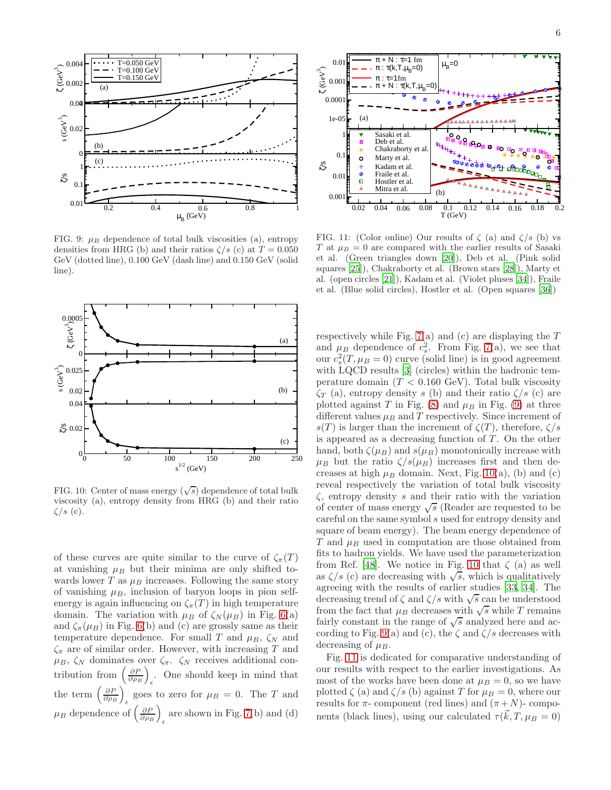

<span id="page-5-0"></span>FIG. 9:  $\mu_B$  dependence of total bulk viscosities (a), entropy densities from HRG (b) and their ratios  $\zeta/s$  (c) at  $T = 0.050$ GeV (dotted line), 0.100 GeV (dash line) and 0.150 GeV (solid line).



<span id="page-5-1"></span>FIG. 10: Center of mass energy  $(\sqrt{s})$  dependence of total bulk viscosity (a), entropy density from HRG (b) and their ratio  $\zeta/s$  (c).

of these curves are quite similar to the curve of  $\zeta_{\pi}(T)$ at vanishing  $\mu_B$  but their minima are only shifted towards lower  $T$  as  $\mu_B$  increases. Following the same story of vanishing  $\mu_B$ , inclusion of baryon loops in pion selfenergy is again influencing on  $\zeta_{\pi}(T)$  in high temperature domain. The variation with  $\mu_B$  of  $\zeta_N(\mu_B)$  in Fig. [6\(](#page-4-1)a) and  $\zeta_{\pi}(\mu)$  in Fig. [6\(](#page-4-1)b) and (c) are grossly same as their temperature dependence. For small T and  $\mu_B$ ,  $\zeta_N$  and  $\zeta_{\pi}$  are of similar order. However, with increasing T and  $\mu_B$ ,  $\zeta_N$  dominates over  $\zeta_\pi$ .  $\zeta_N$  receives additional contribution from  $\left(\frac{\partial P}{\partial \rho_B}\right)$ . One should keep in mind that  $\epsilon$ the term  $\left(\frac{\partial P}{\partial \rho_B}\right)$ goes to zero for  $\mu_B = 0$ . The T and  $\mu_B$  dependence of  $\left(\frac{\partial P}{\partial \rho_B}\right)$ are shown in Fig. [7\(](#page-4-2)b) and (d)



<span id="page-5-2"></span>FIG. 11: (Color online) Our results of  $\zeta$  (a) and  $\zeta/s$  (b) vs T at  $\mu_B = 0$  are compared with the earlier results of Sasaki et al. (Green triangles down [\[20](#page-7-9)]), Deb et al. (Pink solid squares [\[25\]](#page-7-10)), Chakraborty et al. (Brown stars [\[28\]](#page-7-12)), Marty et al. (open circles [\[21](#page-7-27)]), Kadam et al. (Violet pluses [\[34](#page-7-21)]), Fraile et al. (Blue solid circles), Hostler et al. (Open squares [\[36](#page-7-16)])

respectively while Fig.  $7(a)$  and (c) are displaying the T and  $\mu_B$  dependence of  $c_s^2$ . From Fig. [7\(](#page-4-2)a), we see that our  $c_s^2(T, \mu_B = 0)$  curve (solid line) is in good agreement with LQCD results [\[3\]](#page-7-2) (circles) within the hadronic temperature domain  $(T < 0.160 \text{ GeV})$ . Total bulk viscosity  $\zeta_T$  (a), entropy density s (b) and their ratio  $\zeta/s$  (c) are plotted against T in Fig. [\(8\)](#page-4-3) and  $\mu_B$  in Fig. [\(9\)](#page-5-0) at three different values  $\mu_B$  and T respectively. Since increment of s(T) is larger than the increment of  $\zeta(T)$ , therefore,  $\zeta/s$ is appeared as a decreasing function of  $T$ . On the other hand, both  $\zeta(\mu_B)$  and  $s(\mu_B)$  monotonically increase with  $\mu_B$  but the ratio  $\zeta/s(\mu_B)$  increases first and then decreases at high  $\mu_B$  domain. Next, Fig. [10\(](#page-5-1)a), (b) and (c) reveal respectively the variation of total bulk viscosity  $\zeta$ , entropy density s and their ratio with the variation of center of mass energy  $\sqrt{s}$  (Reader are requested to be careful on the same symbol s used for entropy density and square of beam energy). The beam energy dependence of  $T$  and  $\mu_B$  used in computation are those obtained from fits to hadron yields. We have used the parameterization from Ref. [\[48\]](#page-8-1). We notice in Fig. [10](#page-5-1) that  $\zeta$  (a) as well as  $\zeta/s$  (c) are decreasing with  $\sqrt{s}$ , which is qualitatively agreeing with the results of earlier studies [\[33,](#page-7-15) [34](#page-7-21)]. The decreasing trend of  $\zeta$  and  $\zeta/s$  with  $\sqrt{s}$  can be understood from the fact that  $\mu_B$  decreases with  $\sqrt{s}$  while T remains fairly constant in the range of  $\sqrt{s}$  analyzed here and ac-cording to Fig. [9\(](#page-5-0)a) and (c), the  $\zeta$  and  $\zeta/s$  decreases with decreasing of  $\mu_B$ .

Fig. [11](#page-5-2) is dedicated for comparative understanding of our results with respect to the earlier investigations. As most of the works have been done at  $\mu_B = 0$ , so we have plotted  $\zeta$  (a) and  $\zeta/s$  (b) against T for  $\mu_B = 0$ , where our results for  $\pi$ - component (red lines) and  $(\pi+N)$ - components (black lines), using our calculated  $\tau(\vec{k}, T, \mu_B = 0)$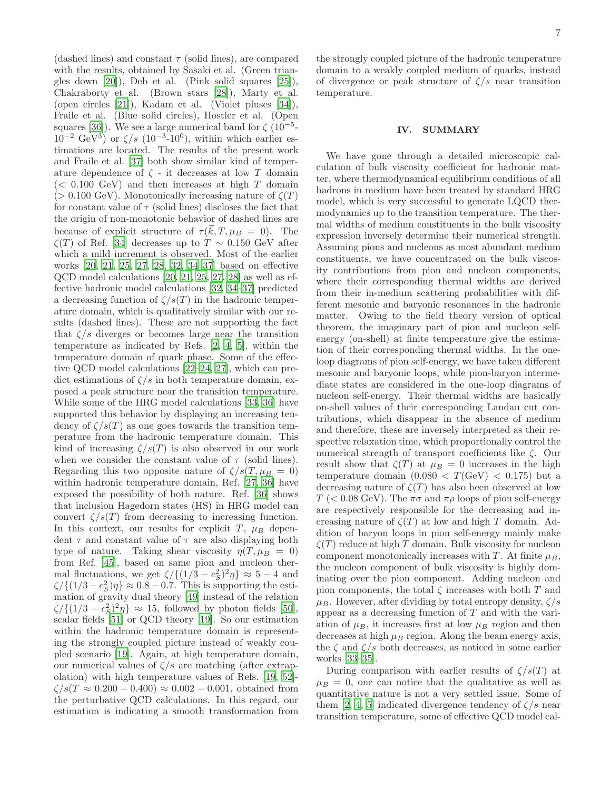(dashed lines) and constant  $\tau$  (solid lines), are compared with the results, obtained by Sasaki et al. (Green triangles down [\[20\]](#page-7-9)), Deb et al. (Pink solid squares [\[25\]](#page-7-10)), Chakraborty et al. (Brown stars [\[28\]](#page-7-12)), Marty et al. (open circles [\[21\]](#page-7-27)), Kadam et al. (Violet pluses [\[34\]](#page-7-21)), Fraile et al. (Blue solid circles), Hostler et al. (Open squares [\[36\]](#page-7-16)). We see a large numerical band for  $\zeta$  (10<sup>-5</sup>- $10^{-2}$  GeV<sup>3</sup>) or  $\zeta/s$  (10<sup>-3</sup>-10<sup>0</sup>), within which earlier estimations are located. The results of the present work and Fraile et al. [\[37](#page-7-8)] both show similar kind of temperature dependence of  $\zeta$  - it decreases at low T domain  $(< 0.100 \text{ GeV})$  and then increases at high T domain ( $> 0.100 \text{ GeV}$ ). Monotonically increasing nature of  $\zeta(T)$ for constant value of  $\tau$  (solid lines) discloses the fact that the origin of non-monotonic behavior of dashed lines are because of explicit structure of  $\tau(\vec{k}, T, \mu_B = 0)$ . The  $\zeta(T)$  of Ref. [\[34](#page-7-21)] decreases up to  $T \sim 0.150$  GeV after which a mild increment is observed. Most of the earlier works [\[20,](#page-7-9) [21](#page-7-27), [25](#page-7-10), [27](#page-7-14), [28](#page-7-12), [32](#page-7-13), [34](#page-7-21)[–37](#page-7-8)] based on effective QCD model calculations [\[20,](#page-7-9) [21,](#page-7-27) [25](#page-7-10), [27,](#page-7-14) [28\]](#page-7-12) as well as effective hadronic model calculations [\[32,](#page-7-13) [34](#page-7-21)[–37\]](#page-7-8) predicted a decreasing function of  $\zeta/s(T)$  in the hadronic temperature domain, which is qualitatively similar with our results (dashed lines). These are not supporting the fact that  $\zeta/s$  diverges or becomes large near the transition temperature as indicated by Refs. [\[2](#page-7-1), [4,](#page-7-3) [5\]](#page-7-4), within the temperature domain of quark phase. Some of the effective QCD model calculations [\[22](#page-7-28)[–24,](#page-7-29) [27\]](#page-7-14), which can predict estimations of  $\zeta/s$  in both temperature domain, exposed a peak structure near the transition temperature. While some of the HRG model calculations [\[33,](#page-7-15) [36\]](#page-7-16) have supported this behavior by displaying an increasing tendency of  $\zeta/s(T)$  as one goes towards the transition temperature from the hadronic temperature domain. This kind of increasing  $\zeta/s(T)$  is also observed in our work when we consider the constant value of  $\tau$  (solid lines). Regarding this two opposite nature of  $\zeta/s(T,\mu_B = 0)$ within hadronic temperature domain, Ref. [\[27,](#page-7-14) [36\]](#page-7-16) have exposed the possibility of both nature. Ref. [\[36\]](#page-7-16) shows that inclusion Hagedorn states (HS) in HRG model can convert  $\zeta/s(T)$  from decreasing to increasing function. In this context, our results for explicit T,  $\mu_B$  dependent  $\tau$  and constant value of  $\tau$  are also displaying both type of nature. Taking shear viscosity  $\eta(T, \mu_B = 0)$ from Ref. [\[45](#page-7-24)], based on same pion and nucleon thermal fluctuations, we get  $\zeta / \{(1/3 - c_S^2)^2 \eta\} \approx 5 - 4$  and  $\zeta / \{(1/3 - c_S^2)\eta\} \approx 0.8 - 0.7$ . This is supporting the estimation of gravity dual theory [\[49\]](#page-8-2) instead of the relation  $\zeta/\{(1/3-c_S^2)^2\eta\} \approx 15$ , followed by photon fields [\[50\]](#page-8-3), scalar fields [\[51](#page-8-4)] or QCD theory [\[19\]](#page-7-7). So our estimation within the hadronic temperature domain is representing the strongly coupled picture instead of weakly coupled scenario [\[19\]](#page-7-7). Again, at high temperature domain, our numerical values of  $\zeta/s$  are matching (after extrapolation) with high temperature values of Refs. [\[19](#page-7-7), [52](#page-8-5)]-  $\zeta/s(T \approx 0.200 - 0.400) \approx 0.002 - 0.001$ , obtained from the perturbative QCD calculations. In this regard, our estimation is indicating a smooth transformation from

the strongly coupled picture of the hadronic temperature domain to a weakly coupled medium of quarks, instead of divergence or peak structure of  $\zeta/s$  near transition temperature.

### <span id="page-6-0"></span>IV. SUMMARY

We have gone through a detailed microscopic calculation of bulk viscosity coefficient for hadronic matter, where thermodynamical equilibrium conditions of all hadrons in medium have been treated by standard HRG model, which is very successful to generate LQCD thermodynamics up to the transition temperature. The thermal widths of medium constituents in the bulk viscosity expression inversely determine their numerical strength. Assuming pions and nucleons as most abundant medium constituents, we have concentrated on the bulk viscosity contributions from pion and nucleon components, where their corresponding thermal widths are derived from their in-medium scattering probabilities with different mesonic and baryonic resonances in the hadronic matter. Owing to the field theory version of optical theorem, the imaginary part of pion and nucleon selfenergy (on-shell) at finite temperature give the estimation of their corresponding thermal widths. In the oneloop diagrams of pion self-energy, we have taken different mesonic and baryonic loops, while pion-baryon intermediate states are considered in the one-loop diagrams of nucleon self-energy. Their thermal widths are basically on-shell values of their corresponding Landau cut contributions, which disappear in the absence of medium and therefore, these are inversely interpreted as their respective relaxation time, which proportionally control the numerical strength of transport coefficients like ζ. Our result show that  $\zeta(T)$  at  $\mu_B = 0$  increases in the high temperature domain  $(0.080 < T(\text{GeV}) < 0.175)$  but a decreasing nature of  $\zeta(T)$  has also been observed at low T ( $< 0.08$  GeV). The  $\pi\sigma$  and  $\pi\rho$  loops of pion self-energy are respectively responsible for the decreasing and increasing nature of  $\zeta(T)$  at low and high T domain. Addition of baryon loops in pion self-energy mainly make  $\zeta(T)$  reduce at high T domain. Bulk viscosity for nucleon component monotonically increases with T. At finite  $\mu_B$ , the nucleon component of bulk viscosity is highly dominating over the pion component. Adding nucleon and pion components, the total  $\zeta$  increases with both  $T$  and  $\mu_B$ . However, after dividing by total entropy density,  $\zeta/s$ appear as a decreasing function of T and with the variation of  $\mu_B$ , it increases first at low  $\mu_B$  region and then decreases at high  $\mu_B$  region. Along the beam energy axis, the  $\zeta$  and  $\zeta/s$  both decreases, as noticed in some earlier works [\[33](#page-7-15)[–35\]](#page-7-30).

During comparison with earlier results of  $\zeta/s(T)$  at  $\mu_B = 0$ , one can notice that the qualitative as well as quantitative nature is not a very settled issue. Some of them [\[2](#page-7-1), [4,](#page-7-3) [5\]](#page-7-4) indicated divergence tendency of  $\zeta/s$  near transition temperature, some of effective QCD model cal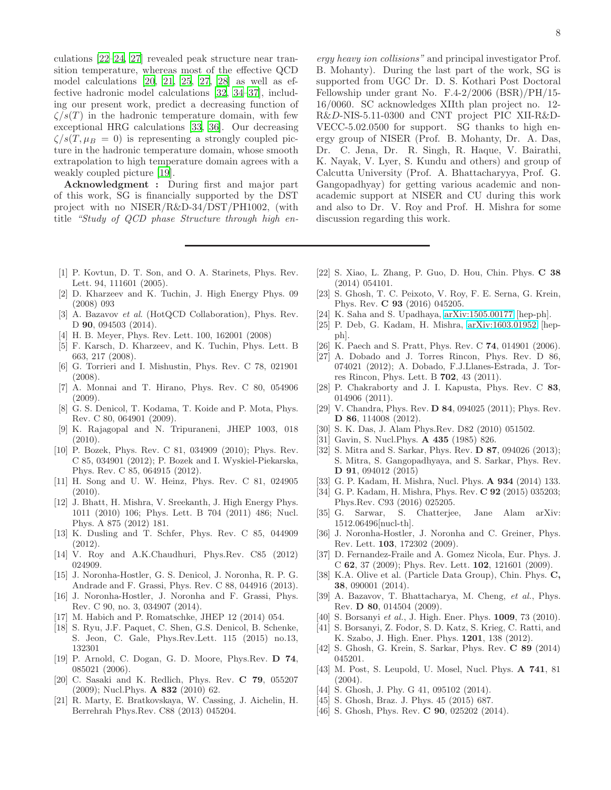culations [\[22](#page-7-28)[–24,](#page-7-29) [27\]](#page-7-14) revealed peak structure near transition temperature, whereas most of the effective QCD model calculations [\[20](#page-7-9), [21,](#page-7-27) [25,](#page-7-10) [27](#page-7-14), [28\]](#page-7-12) as well as effective hadronic model calculations [\[32](#page-7-13), [34](#page-7-21)[–37](#page-7-8)], including our present work, predict a decreasing function of  $\zeta/s(T)$  in the hadronic temperature domain, with few exceptional HRG calculations [\[33](#page-7-15), [36](#page-7-16)]. Our decreasing  $\zeta/s(T,\mu_B = 0)$  is representing a strongly coupled picture in the hadronic temperature domain, whose smooth extrapolation to high temperature domain agrees with a weakly coupled picture [\[19](#page-7-7)].

Acknowledgment : During first and major part of this work, SG is financially supported by the DST project with no NISER/R&D-34/DST/PH1002, (with title "Study of QCD phase Structure through high en-

- <span id="page-7-0"></span>[1] P. Kovtun, D. T. Son, and O. A. Starinets, Phys. Rev. Lett. 94, 111601 (2005).
- <span id="page-7-1"></span>[2] D. Kharzeev and K. Tuchin, J. High Energy Phys. 09 (2008) 093
- <span id="page-7-2"></span>[3] A. Bazavov et al. (HotQCD Collaboration), Phys. Rev. D **90**, 094503 (2014).
- <span id="page-7-3"></span>[4] H. B. Meyer, Phys. Rev. Lett. 100, 162001 (2008)
- <span id="page-7-4"></span>[5] F. Karsch, D. Kharzeev, and K. Tuchin, Phys. Lett. B 663, 217 (2008).
- <span id="page-7-5"></span>[6] G. Torrieri and I. Mishustin, Phys. Rev. C 78, 021901 (2008).
- [7] A. Monnai and T. Hirano, Phys. Rev. C 80, 054906 (2009).
- [8] G. S. Denicol, T. Kodama, T. Koide and P. Mota, Phys. Rev. C 80, 064901 (2009).
- [9] K. Rajagopal and N. Tripuraneni, JHEP 1003, 018 (2010).
- [10] P. Bozek, Phys. Rev. C 81, 034909 (2010); Phys. Rev. C 85, 034901 (2012); P. Bozek and I. Wyskiel-Piekarska, Phys. Rev. C 85, 064915 (2012).
- [11] H. Song and U. W. Heinz, Phys. Rev. C 81, 024905 (2010).
- [12] J. Bhatt, H. Mishra, V. Sreekanth, J. High Energy Phys. 1011 (2010) 106; Phys. Lett. B 704 (2011) 486; Nucl. Phys. A 875 (2012) 181.
- [13] K. Dusling and T. Schfer, Phys. Rev. C 85, 044909 (2012).
- [14] V. Roy and A.K.Chaudhuri, Phys.Rev. C85 (2012) 024909.
- [15] J. Noronha-Hostler, G. S. Denicol, J. Noronha, R. P. G. Andrade and F. Grassi, Phys. Rev. C 88, 044916 (2013).
- [16] J. Noronha-Hostler, J. Noronha and F. Grassi, Phys. Rev. C 90, no. 3, 034907 (2014).
- [17] M. Habich and P. Romatschke, JHEP 12 (2014) 054.
- <span id="page-7-6"></span>[18] S. Ryu, J.F. Paquet, C. Shen, G.S. Denicol, B. Schenke, S. Jeon, C. Gale, Phys.Rev.Lett. 115 (2015) no.13, 132301
- <span id="page-7-7"></span>[19] P. Arnold, C. Dogan, G. D. Moore, Phys.Rev. D 74, 085021 (2006).
- <span id="page-7-9"></span>[20] C. Sasaki and K. Redlich, Phys. Rev. C 79, 055207  $(2009)$ ; Nucl. Phys. **A 832** (2010) 62.
- <span id="page-7-27"></span>[21] R. Marty, E. Bratkovskaya, W. Cassing, J. Aichelin, H. Berrehrah Phys.Rev. C88 (2013) 045204.

ergy heavy ion collisions" and principal investigator Prof. B. Mohanty). During the last part of the work, SG is supported from UGC Dr. D. S. Kothari Post Doctoral Fellowship under grant No. F.4-2/2006 (BSR)/PH/15- 16/0060. SC acknowledges XIIth plan project no. 12- R&D-NIS-5.11-0300 and CNT project PIC XII-R&D-VECC-5.02.0500 for support. SG thanks to high energy group of NISER (Prof. B. Mohanty, Dr. A. Das, Dr. C. Jena, Dr. R. Singh, R. Haque, V. Bairathi, K. Nayak, V. Lyer, S. Kundu and others) and group of Calcutta University (Prof. A. Bhattacharyya, Prof. G. Gangopadhyay) for getting various academic and nonacademic support at NISER and CU during this work and also to Dr. V. Roy and Prof. H. Mishra for some discussion regarding this work.

- <span id="page-7-28"></span>[22] S. Xiao, L. Zhang, P. Guo, D. Hou, Chin. Phys. C 38 (2014) 054101.
- [23] S. Ghosh, T. C. Peixoto, V. Roy, F. E. Serna, G. Krein, Phys. Rev. C 93 (2016) 045205.
- <span id="page-7-29"></span>[24] K. Saha and S. Upadhaya, [arXiv:1505.00177](http://arxiv.org/abs/1505.00177) [hep-ph].
- <span id="page-7-10"></span>[25] P. Deb, G. Kadam, H. Mishra, [arXiv:1603.01952](http://arxiv.org/abs/1603.01952) [hepph].
- <span id="page-7-11"></span>[26] K. Paech and S. Pratt, Phys. Rev. C **74**, 014901 (2006).
- <span id="page-7-14"></span>[27] A. Dobado and J. Torres Rincon, Phys. Rev. D 86, 074021 (2012); A. Dobado, F.J.Llanes-Estrada, J. Torres Rincon, Phys. Lett. B 702, 43 (2011).
- <span id="page-7-12"></span>[28] P. Chakraborty and J. I. Kapusta, Phys. Rev. C 83, 014906 (2011).
- [29] V. Chandra, Phys. Rev. **D 84**, 094025 (2011); Phys. Rev. D 86, 114008 (2012).
- [30] S. K. Das, J. Alam Phys.Rev. D82 (2010) 051502.
- <span id="page-7-20"></span>[31] Gavin, S. Nucl.Phys. A 435 (1985) 826.
- <span id="page-7-13"></span>[32] S. Mitra and S. Sarkar, Phys. Rev. **D 87**, 094026 (2013); S. Mitra, S. Gangopadhyaya, and S. Sarkar, Phys. Rev. D 91, 094012 (2015)
- <span id="page-7-15"></span>[33] G. P. Kadam, H. Mishra, Nucl. Phys. **A 934** (2014) 133.
- <span id="page-7-21"></span>[34] G. P. Kadam, H. Mishra, Phys. Rev. C 92 (2015) 035203; Phys.Rev. C93 (2016) 025205.
- <span id="page-7-30"></span>[35] G. Sarwar, S. Chatterjee, Jane Alam arXiv: 1512.06496[nucl-th].
- <span id="page-7-16"></span>[36] J. Noronha-Hostler, J. Noronha and C. Greiner, Phys. Rev. Lett. 103, 172302 (2009).
- <span id="page-7-8"></span>[37] D. Fernandez-Fraile and A. Gomez Nicola, Eur. Phys. J. C 62, 37 (2009); Phys. Rev. Lett. 102, 121601 (2009).
- <span id="page-7-17"></span>[38] K.A. Olive et al. (Particle Data Group), Chin. Phys. C, 38, 090001 (2014).
- <span id="page-7-18"></span>[39] A. Bazavov, T. Bhattacharya, M. Cheng, et al., Phys. Rev. D 80, 014504 (2009).
- [40] S. Borsanyi et al., J. High. Ener. Phys. **1009**, 73 (2010).
- <span id="page-7-19"></span>[41] S. Borsanyi, Z. Fodor, S. D. Katz, S. Krieg, C. Ratti, and K. Szabo, J. High. Ener. Phys. 1201, 138 (2012).
- <span id="page-7-22"></span>[42] S. Ghosh, G. Krein, S. Sarkar, Phys. Rev. C 89 (2014) 045201.
- <span id="page-7-25"></span>[43] M. Post, S. Leupold, U. Mosel, Nucl. Phys. A 741, 81 (2004).
- <span id="page-7-23"></span>[44] S. Ghosh, J. Phy. G 41, 095102 (2014).
- <span id="page-7-24"></span>[45] S. Ghosh, Braz. J. Phys. 45 (2015) 687.
- <span id="page-7-26"></span>[46] S. Ghosh, Phys. Rev. **C 90**, 025202 (2014).